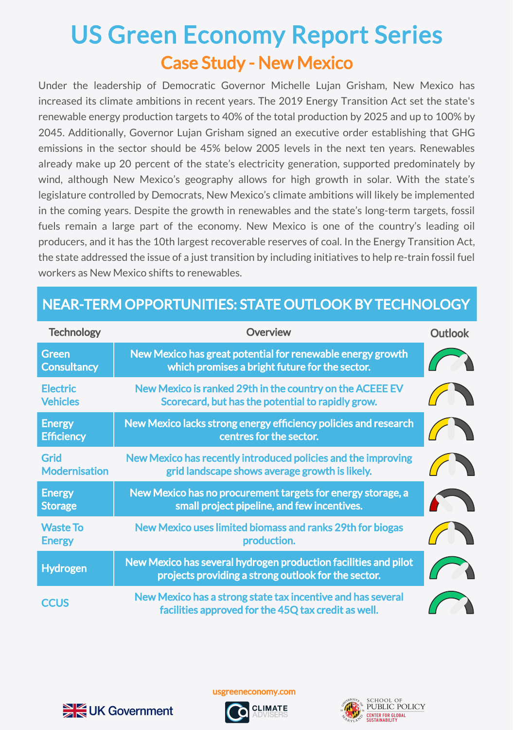## Case Study - New Mexico US Green Economy Report Series

Under the leadership of Democratic Governor Michelle Lujan Grisham, New Mexico has increased its climate ambitions in recent years. The 2019 Energy Transition Act set the state's renewable energy production targets to 40% of the total production by 2025 and up to 100% by 2045. Additionally, Governor Lujan Grisham signed an executive order establishing that GHG emissions in the sector should be 45% below 2005 levels in the next ten years. Renewables already make up 20 percent of the state's electricity generation, supported predominately by wind, although New Mexico's geography allows for high growth in solar. With the state's legislature controlled by Democrats, New Mexico's climate ambitions will likely be implemented in the coming years. Despite the growth in renewables and the state's long-term targets, fossil fuels remain a large part of the economy. New Mexico is one of the country's leading oil producers, and it has the 10th largest recoverable reserves of coal. In the Energy Transition Act, the state addressed the issue of a just transition by including initiatives to help re-train fossil fuel workers as New Mexico shifts to renewables.

|  | NEAR-TERM OPPORTUNITIES: STATE OUTLOOK BY TECHNOLOGY |  |
|--|------------------------------------------------------|--|
|  |                                                      |  |

| <b>Technology</b>                   | Overview                                                                                                               | <b>Outlook</b> |
|-------------------------------------|------------------------------------------------------------------------------------------------------------------------|----------------|
| <b>Green</b><br><b>Consultancy</b>  | New Mexico has great potential for renewable energy growth<br>which promises a bright future for the sector.           |                |
| <b>Electric</b><br><b>Vehicles</b>  | New Mexico is ranked 29th in the country on the ACEEE EV<br>Scorecard, but has the potential to rapidly grow.          |                |
| <b>Energy</b><br><b>Efficiency</b>  | New Mexico lacks strong energy efficiency policies and research<br>centres for the sector.                             |                |
| <b>Grid</b><br><b>Modernisation</b> | New Mexico has recently introduced policies and the improving<br>grid landscape shows average growth is likely.        |                |
| <b>Energy</b><br><b>Storage</b>     | New Mexico has no procurement targets for energy storage, a<br>small project pipeline, and few incentives.             |                |
| <b>Waste To</b><br><b>Energy</b>    | New Mexico uses limited biomass and ranks 29th for biogas<br>production.                                               |                |
| <b>Hydrogen</b>                     | New Mexico has several hydrogen production facilities and pilot<br>projects providing a strong outlook for the sector. |                |
| <b>CCUS</b>                         | New Mexico has a strong state tax incentive and has several<br>facilities approved for the 45Q tax credit as well.     |                |

usgreeneconomy.com